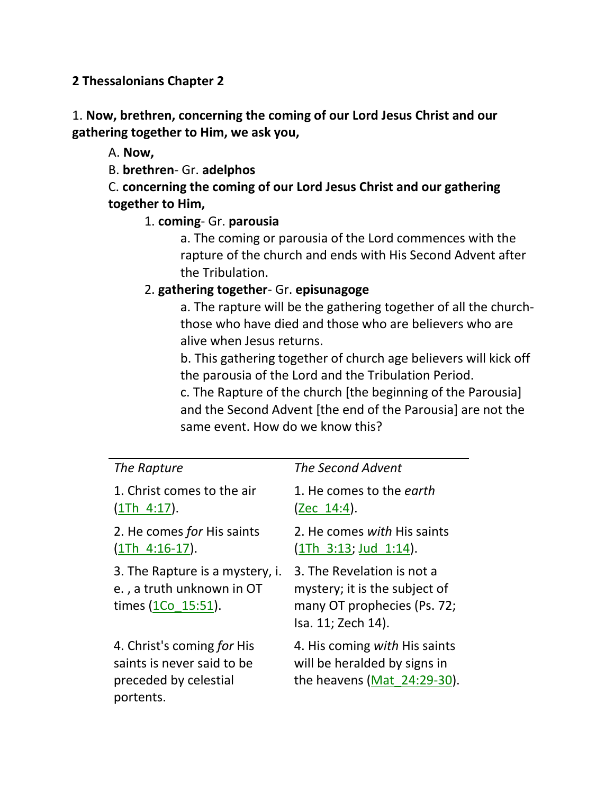**2 Thessalonians Chapter 2**

1. **Now, brethren, concerning the coming of our Lord Jesus Christ and our gathering together to Him, we ask you,** 

A. **Now,**

B. **brethren**- Gr. **adelphos**

C. **concerning the coming of our Lord Jesus Christ and our gathering together to Him,**

1. **coming**- Gr. **parousia**

a. The coming or parousia of the Lord commences with the rapture of the church and ends with His Second Advent after the Tribulation.

## 2. **gathering together**- Gr. **episunagoge**

a. The rapture will be the gathering together of all the churchthose who have died and those who are believers who are alive when Jesus returns.

b. This gathering together of church age believers will kick off the parousia of the Lord and the Tribulation Period.

c. The Rapture of the church [the beginning of the Parousia] and the Second Advent [the end of the Parousia] are not the same event. How do we know this?

|                                                                                                | The Second Advent                                                                                                |
|------------------------------------------------------------------------------------------------|------------------------------------------------------------------------------------------------------------------|
| The Rapture                                                                                    |                                                                                                                  |
| 1. Christ comes to the air<br>$(1Th 4:17)$ .                                                   | 1. He comes to the <i>earth</i><br>(Zec 14:4).                                                                   |
| 2. He comes for His saints<br>$(1Th 4:16-17).$                                                 | 2. He comes with His saints<br>$(1Th \t3:13; Jud \t1:14).$                                                       |
| 3. The Rapture is a mystery, i.<br>e., a truth unknown in OT<br>times $(1Co 15:51)$ .          | 3. The Revelation is not a<br>mystery; it is the subject of<br>many OT prophecies (Ps. 72;<br>Isa. 11; Zech 14). |
| 4. Christ's coming for His<br>saints is never said to be<br>preceded by celestial<br>portents. | 4. His coming with His saints<br>will be heralded by signs in<br>the heavens (Mat $24:29-30$ ).                  |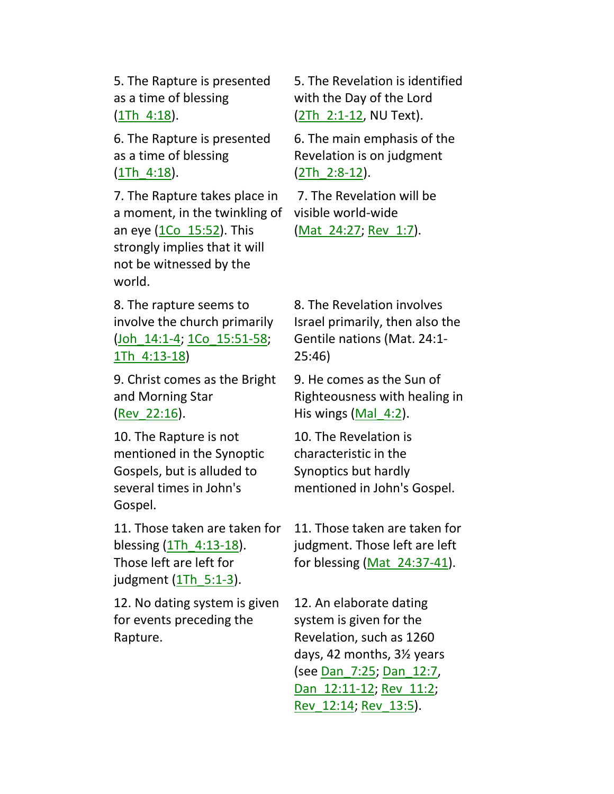5. The Rapture is presented as a time of blessing (1Th\_4:18).

6. The Rapture is presented as a time of blessing  $(1Th 4:18).$ 

7. The Rapture takes place in a moment, in the twinkling of an eye (1Co\_15:52). This strongly implies that it will not be witnessed by the world.

8. The rapture seems to involve the church primarily (Joh\_14:1-4; 1Co\_15:51-58; 1Th\_4:13-18)

9. Christ comes as the Bright and Morning Star (Rev\_22:16).

10. The Rapture is not mentioned in the Synoptic Gospels, but is alluded to several times in John's Gospel.

11. Those taken are taken for blessing (1Th\_4:13-18). Those left are left for judgment  $(1Th<sub>5:1-3</sub>)$ .

12. No dating system is given for events preceding the Rapture.

5. The Revelation is identified with the Day of the Lord (2Th\_2:1-12, NU Text).

6. The main emphasis of the Revelation is on judgment (2Th\_2:8-12).

7. The Revelation will be visible world-wide (Mat 24:27; Rev 1:7).

8. The Revelation involves Israel primarily, then also the Gentile nations (Mat. 24:1- 25:46)

9. He comes as the Sun of Righteousness with healing in His wings (Mal 4:2).

10. The Revelation is characteristic in the Synoptics but hardly mentioned in John's Gospel.

11. Those taken are taken for judgment. Those left are left for blessing (Mat  $24:37-41$ ).

12. An elaborate dating system is given for the Revelation, such as 1260 days, 42 months, 3½ years (see <u>Dan 7:25</u>; Dan 12:7, Dan 12:11-12; Rev 11:2; Rev\_12:14; Rev\_13:5).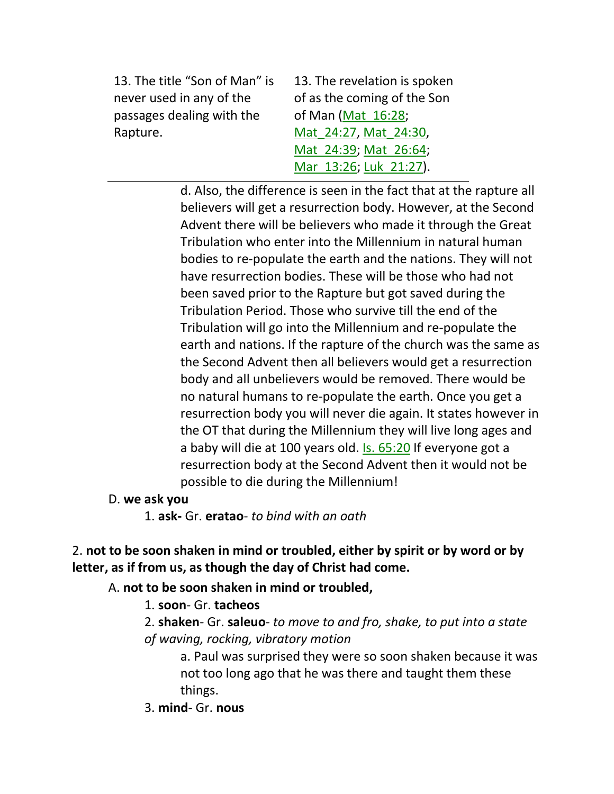13. The title "Son of Man" is never used in any of the passages dealing with the Rapture.

13. The revelation is spoken of as the coming of the Son of Man (Mat\_16:28; Mat\_24:27, Mat\_24:30, Mat 24:39; Mat 26:64; Mar 13:26; Luk 21:27).

d. Also, the difference is seen in the fact that at the rapture all believers will get a resurrection body. However, at the Second Advent there will be believers who made it through the Great Tribulation who enter into the Millennium in natural human bodies to re-populate the earth and the nations. They will not have resurrection bodies. These will be those who had not been saved prior to the Rapture but got saved during the Tribulation Period. Those who survive till the end of the Tribulation will go into the Millennium and re-populate the earth and nations. If the rapture of the church was the same as the Second Advent then all believers would get a resurrection body and all unbelievers would be removed. There would be no natural humans to re-populate the earth. Once you get a resurrection body you will never die again. It states however in the OT that during the Millennium they will live long ages and a baby will die at 100 years old. Is. 65:20 If everyone got a resurrection body at the Second Advent then it would not be possible to die during the Millennium!

D. **we ask you**

1. **ask-** Gr. **eratao**- *to bind with an oath*

2. **not to be soon shaken in mind or troubled, either by spirit or by word or by letter, as if from us, as though the day of Christ had come.** 

A. **not to be soon shaken in mind or troubled,**

1. **soon**- Gr. **tacheos**

2. **shaken**- Gr. **saleuo**- *to move to and fro, shake, to put into a state of waving, rocking, vibratory motion*

a. Paul was surprised they were so soon shaken because it was not too long ago that he was there and taught them these things.

3. **mind**- Gr. **nous**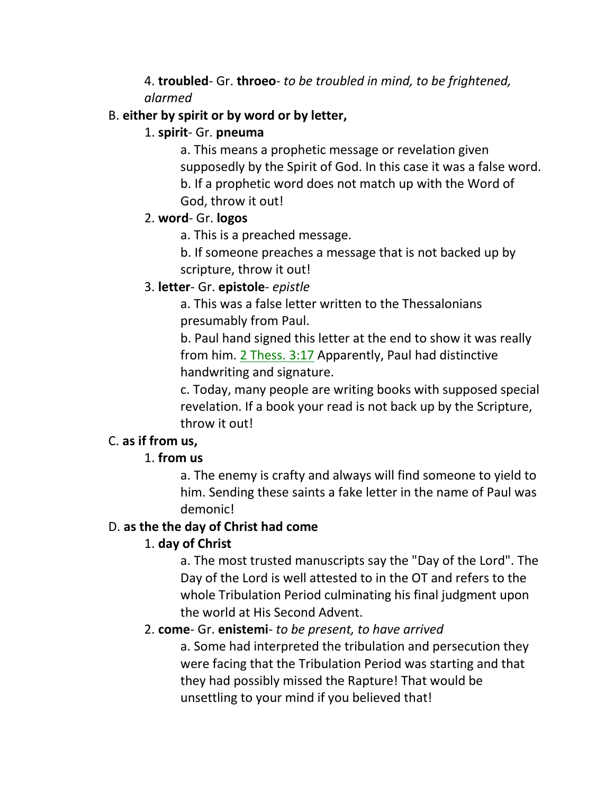4. **troubled**- Gr. **throeo**- *to be troubled in mind, to be frightened, alarmed*

### B. **either by spirit or by word or by letter,**

### 1. **spirit**- Gr. **pneuma**

a. This means a prophetic message or revelation given supposedly by the Spirit of God. In this case it was a false word. b. If a prophetic word does not match up with the Word of God, throw it out!

### 2. **word**- Gr. **logos**

a. This is a preached message.

b. If someone preaches a message that is not backed up by scripture, throw it out!

## 3. **letter**- Gr. **epistole**- *epistle*

a. This was a false letter written to the Thessalonians presumably from Paul.

b. Paul hand signed this letter at the end to show it was really from him. 2 Thess. 3:17 Apparently, Paul had distinctive handwriting and signature.

c. Today, many people are writing books with supposed special revelation. If a book your read is not back up by the Scripture, throw it out!

## C. **as if from us,**

## 1. **from us**

a. The enemy is crafty and always will find someone to yield to him. Sending these saints a fake letter in the name of Paul was demonic!

## D. **as the the day of Christ had come**

## 1. **day of Christ**

a. The most trusted manuscripts say the "Day of the Lord". The Day of the Lord is well attested to in the OT and refers to the whole Tribulation Period culminating his final judgment upon the world at His Second Advent.

## 2. **come**- Gr. **enistemi**- *to be present, to have arrived*

a. Some had interpreted the tribulation and persecution they were facing that the Tribulation Period was starting and that they had possibly missed the Rapture! That would be unsettling to your mind if you believed that!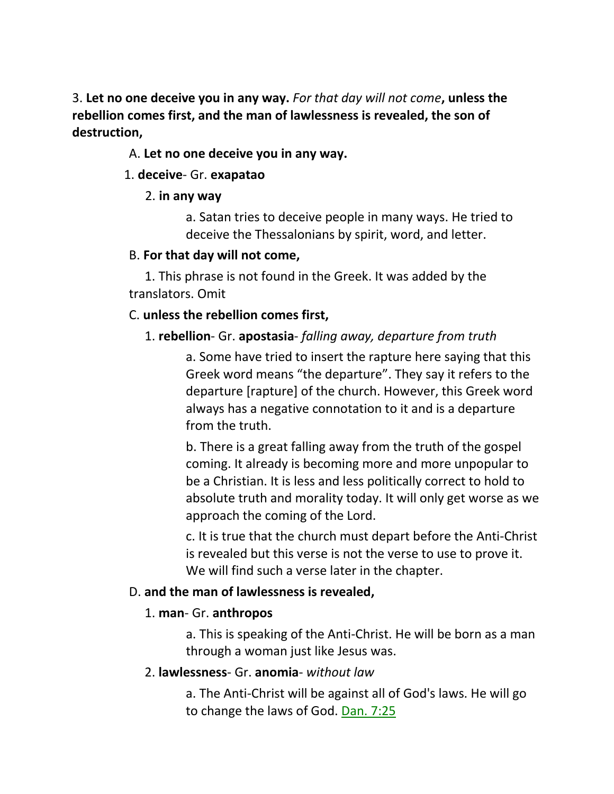3. **Let no one deceive you in any way.** *For that day will not come***, unless the rebellion comes first, and the man of lawlessness is revealed, the son of destruction,**

#### A. **Let no one deceive you in any way.**

#### 1. **deceive**- Gr. **exapatao**

#### 2. **in any way**

a. Satan tries to deceive people in many ways. He tried to deceive the Thessalonians by spirit, word, and letter.

### B. **For that day will not come,**

 1. This phrase is not found in the Greek. It was added by the translators. Omit

### C. **unless the rebellion comes first,**

### 1. **rebellion**- Gr. **apostasia**- *falling away, departure from truth*

a. Some have tried to insert the rapture here saying that this Greek word means "the departure". They say it refers to the departure [rapture] of the church. However, this Greek word always has a negative connotation to it and is a departure from the truth.

b. There is a great falling away from the truth of the gospel coming. It already is becoming more and more unpopular to be a Christian. It is less and less politically correct to hold to absolute truth and morality today. It will only get worse as we approach the coming of the Lord.

c. It is true that the church must depart before the Anti-Christ is revealed but this verse is not the verse to use to prove it. We will find such a verse later in the chapter.

### D. **and the man of lawlessness is revealed,**

### 1. **man**- Gr. **anthropos**

a. This is speaking of the Anti-Christ. He will be born as a man through a woman just like Jesus was.

## 2. **lawlessness**- Gr. **anomia**- *without law*

a. The Anti-Christ will be against all of God's laws. He will go to change the laws of God. Dan. 7:25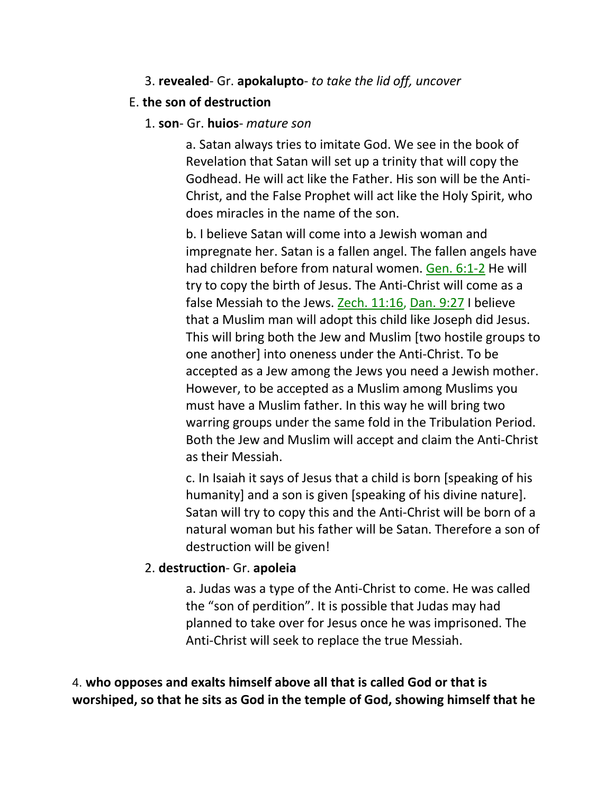#### 3. **revealed**- Gr. **apokalupto**- *to take the lid off, uncover*

#### E. **the son of destruction**

#### 1. **son**- Gr. **huios**- *mature son*

a. Satan always tries to imitate God. We see in the book of Revelation that Satan will set up a trinity that will copy the Godhead. He will act like the Father. His son will be the Anti-Christ, and the False Prophet will act like the Holy Spirit, who does miracles in the name of the son.

b. I believe Satan will come into a Jewish woman and impregnate her. Satan is a fallen angel. The fallen angels have had children before from natural women. Gen. 6:1-2 He will try to copy the birth of Jesus. The Anti-Christ will come as a false Messiah to the Jews. Zech. 11:16, Dan. 9:27 I believe that a Muslim man will adopt this child like Joseph did Jesus. This will bring both the Jew and Muslim [two hostile groups to one another] into oneness under the Anti-Christ. To be accepted as a Jew among the Jews you need a Jewish mother. However, to be accepted as a Muslim among Muslims you must have a Muslim father. In this way he will bring two warring groups under the same fold in the Tribulation Period. Both the Jew and Muslim will accept and claim the Anti-Christ as their Messiah.

c. In Isaiah it says of Jesus that a child is born [speaking of his humanity] and a son is given [speaking of his divine nature]. Satan will try to copy this and the Anti-Christ will be born of a natural woman but his father will be Satan. Therefore a son of destruction will be given!

### 2. **destruction**- Gr. **apoleia**

a. Judas was a type of the Anti-Christ to come. He was called the "son of perdition". It is possible that Judas may had planned to take over for Jesus once he was imprisoned. The Anti-Christ will seek to replace the true Messiah.

4. **who opposes and exalts himself above all that is called God or that is worshiped, so that he sits as God in the temple of God, showing himself that he**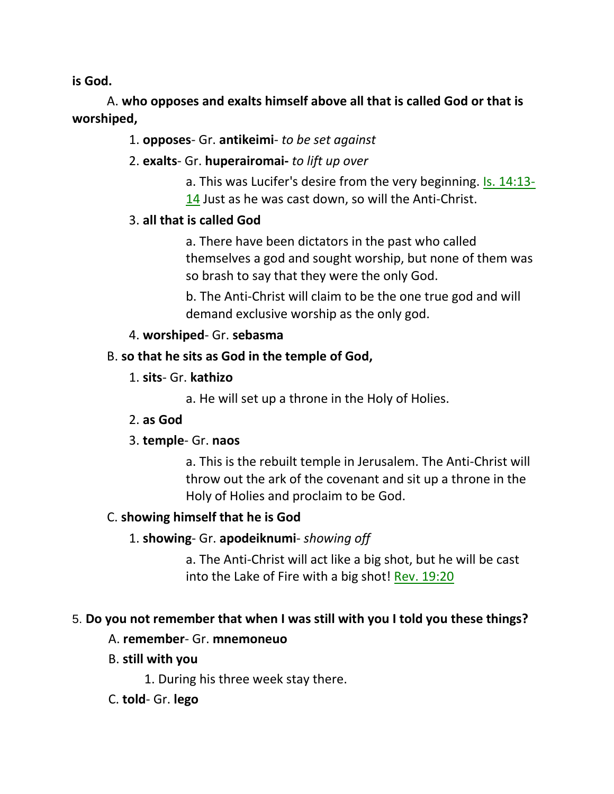**is God.** 

 A. **who opposes and exalts himself above all that is called God or that is worshiped,**

## 1. **opposes**- Gr. **antikeimi**- *to be set against*

## 2. **exalts**- Gr. **huperairomai-** *to lift up over*

a. This was Lucifer's desire from the very beginning. Is. 14:13- 14 Just as he was cast down, so will the Anti-Christ.

## 3. **all that is called God**

a. There have been dictators in the past who called themselves a god and sought worship, but none of them was so brash to say that they were the only God.

b. The Anti-Christ will claim to be the one true god and will demand exclusive worship as the only god.

### 4. **worshiped**- Gr. **sebasma**

## B. **so that he sits as God in the temple of God,**

1. **sits**- Gr. **kathizo**

a. He will set up a throne in the Holy of Holies.

## 2. **as God**

## 3. **temple**- Gr. **naos**

a. This is the rebuilt temple in Jerusalem. The Anti-Christ will throw out the ark of the covenant and sit up a throne in the Holy of Holies and proclaim to be God.

## C. **showing himself that he is God**

## 1. **showing**- Gr. **apodeiknumi**- *showing off*

a. The Anti-Christ will act like a big shot, but he will be cast into the Lake of Fire with a big shot! Rev. 19:20

## 5. **Do you not remember that when I was still with you I told you these things?**

## A. **remember**- Gr. **mnemoneuo**

- B. **still with you**
	- 1. During his three week stay there.

## C. **told**- Gr. **lego**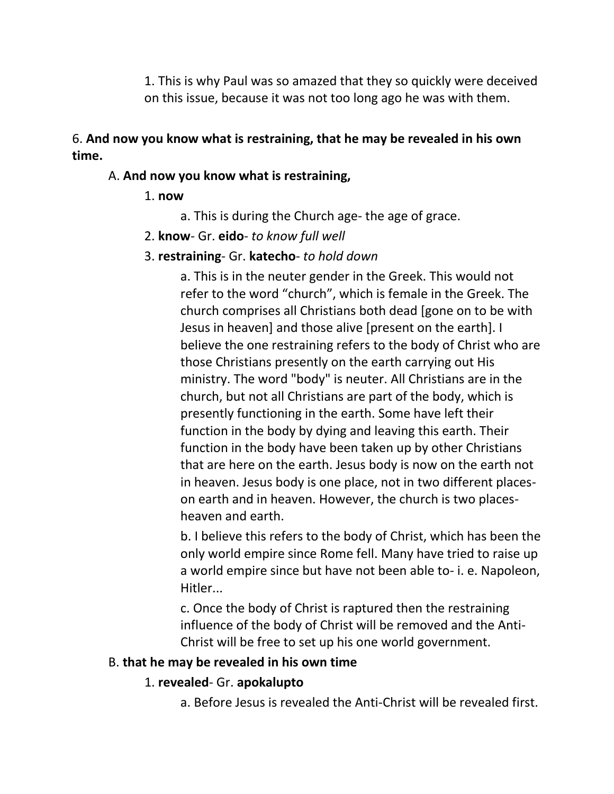1. This is why Paul was so amazed that they so quickly were deceived on this issue, because it was not too long ago he was with them.

## 6. **And now you know what is restraining, that he may be revealed in his own time.**

#### A. **And now you know what is restraining,**

#### 1. **now**

- a. This is during the Church age- the age of grace.
- 2. **know** Gr. **eido** *to know full well*

### 3. **restraining**- Gr. **katecho**- *to hold down*

a. This is in the neuter gender in the Greek. This would not refer to the word "church", which is female in the Greek. The church comprises all Christians both dead [gone on to be with Jesus in heaven] and those alive [present on the earth]. I believe the one restraining refers to the body of Christ who are those Christians presently on the earth carrying out His ministry. The word "body" is neuter. All Christians are in the church, but not all Christians are part of the body, which is presently functioning in the earth. Some have left their function in the body by dying and leaving this earth. Their function in the body have been taken up by other Christians that are here on the earth. Jesus body is now on the earth not in heaven. Jesus body is one place, not in two different placeson earth and in heaven. However, the church is two placesheaven and earth.

b. I believe this refers to the body of Christ, which has been the only world empire since Rome fell. Many have tried to raise up a world empire since but have not been able to- i. e. Napoleon, Hitler...

c. Once the body of Christ is raptured then the restraining influence of the body of Christ will be removed and the Anti-Christ will be free to set up his one world government.

### B. **that he may be revealed in his own time**

### 1. **revealed**- Gr. **apokalupto**

a. Before Jesus is revealed the Anti-Christ will be revealed first.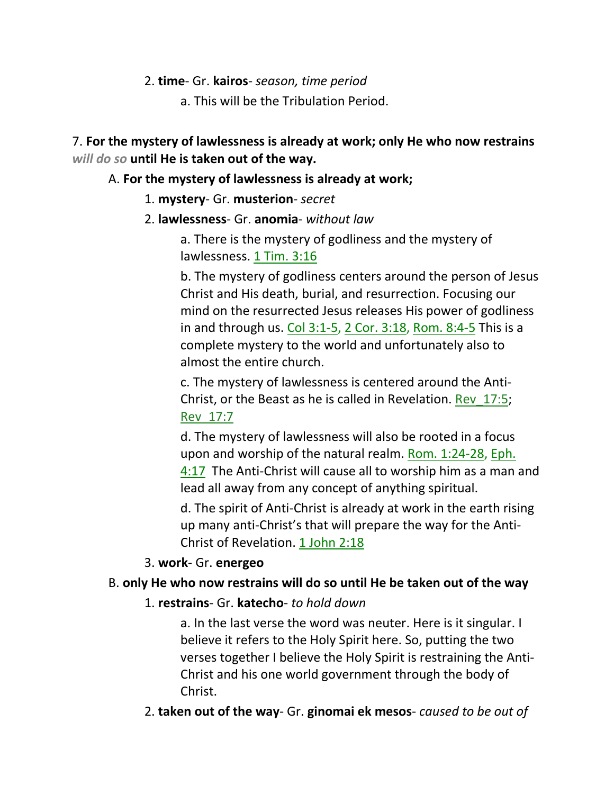#### 2. **time**- Gr. **kairos**- *season, time period*

a. This will be the Tribulation Period.

## 7. **For the mystery of lawlessness is already at work; only He who now restrains**  *will do so* **until He is taken out of the way.**

### A. **For the mystery of lawlessness is already at work;**

- 1. **mystery** Gr. **musterion** *secret*
- 2. **lawlessness** Gr. **anomia** *without law*

a. There is the mystery of godliness and the mystery of lawlessness. 1 Tim. 3:16

b. The mystery of godliness centers around the person of Jesus Christ and His death, burial, and resurrection. Focusing our mind on the resurrected Jesus releases His power of godliness in and through us. Col 3:1-5, 2 Cor. 3:18, Rom. 8:4-5 This is a complete mystery to the world and unfortunately also to almost the entire church.

c. The mystery of lawlessness is centered around the Anti-Christ, or the Beast as he is called in Revelation. Rev\_17:5; Rev\_17:7

d. The mystery of lawlessness will also be rooted in a focus upon and worship of the natural realm. Rom. 1:24-28, Eph. 4:17 The Anti-Christ will cause all to worship him as a man and lead all away from any concept of anything spiritual.

d. The spirit of Anti-Christ is already at work in the earth rising up many anti-Christ's that will prepare the way for the Anti-Christ of Revelation. 1 John 2:18

## 3. **work**- Gr. **energeo**

## B. **only He who now restrains will do so until He be taken out of the way**

1. **restrains**- Gr. **katecho**- *to hold down*

a. In the last verse the word was neuter. Here is it singular. I believe it refers to the Holy Spirit here. So, putting the two verses together I believe the Holy Spirit is restraining the Anti-Christ and his one world government through the body of Christ.

2. **taken out of the way**- Gr. **ginomai ek mesos**- *caused to be out of*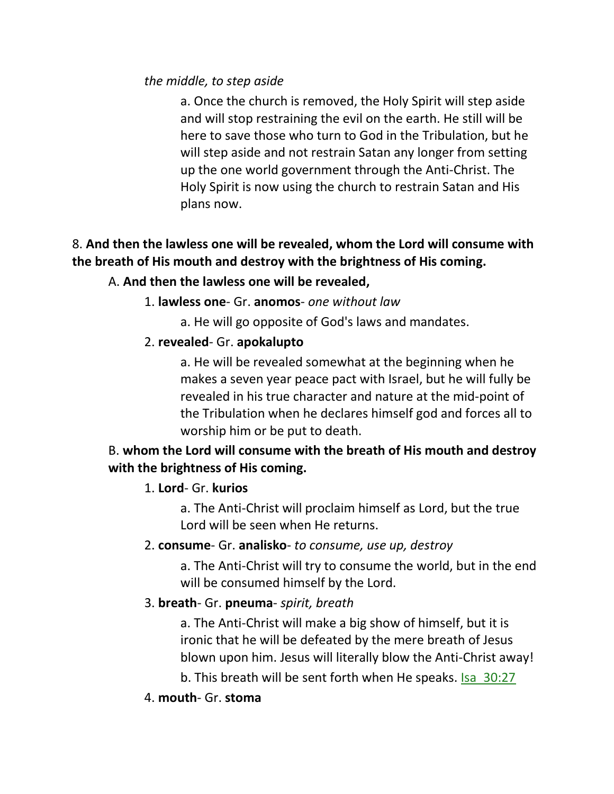#### *the middle, to step aside*

a. Once the church is removed, the Holy Spirit will step aside and will stop restraining the evil on the earth. He still will be here to save those who turn to God in the Tribulation, but he will step aside and not restrain Satan any longer from setting up the one world government through the Anti-Christ. The Holy Spirit is now using the church to restrain Satan and His plans now.

# 8. **And then the lawless one will be revealed, whom the Lord will consume with the breath of His mouth and destroy with the brightness of His coming.**

### A. **And then the lawless one will be revealed,**

- 1. **lawless one** Gr. **anomos** *one without law*
	- a. He will go opposite of God's laws and mandates.

### 2. **revealed**- Gr. **apokalupto**

a. He will be revealed somewhat at the beginning when he makes a seven year peace pact with Israel, but he will fully be revealed in his true character and nature at the mid-point of the Tribulation when he declares himself god and forces all to worship him or be put to death.

## B. **whom the Lord will consume with the breath of His mouth and destroy with the brightness of His coming.**

### 1. **Lord**- Gr. **kurios**

a. The Anti-Christ will proclaim himself as Lord, but the true Lord will be seen when He returns.

### 2. **consume**- Gr. **analisko**- *to consume, use up, destroy*

a. The Anti-Christ will try to consume the world, but in the end will be consumed himself by the Lord.

## 3. **breath**- Gr. **pneuma**- *spirit, breath*

a. The Anti-Christ will make a big show of himself, but it is ironic that he will be defeated by the mere breath of Jesus blown upon him. Jesus will literally blow the Anti-Christ away!

b. This breath will be sent forth when He speaks. Isa 30:27

### 4. **mouth**- Gr. **stoma**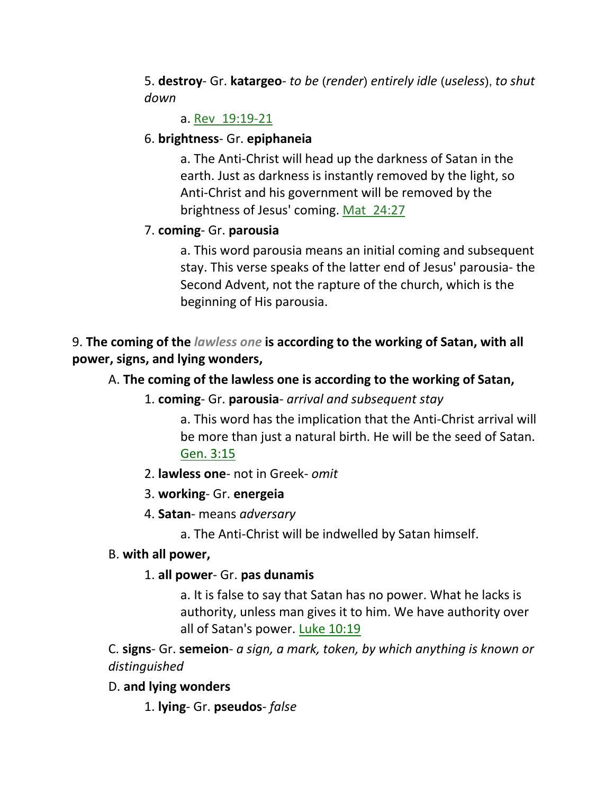5. **destroy**- Gr. **katargeo**- *to be* (*render*) *entirely idle* (*useless*), *to shut down*

### a. Rev\_19:19-21

### 6. **brightness**- Gr. **epiphaneia**

a. The Anti-Christ will head up the darkness of Satan in the earth. Just as darkness is instantly removed by the light, so Anti-Christ and his government will be removed by the brightness of Jesus' coming. Mat\_24:27

## 7. **coming**- Gr. **parousia**

a. This word parousia means an initial coming and subsequent stay. This verse speaks of the latter end of Jesus' parousia- the Second Advent, not the rapture of the church, which is the beginning of His parousia.

9. **The coming of the** *lawless one* **is according to the working of Satan, with all power, signs, and lying wonders,** 

## A. **The coming of the lawless one is according to the working of Satan,**

1. **coming**- Gr. **parousia**- *arrival and subsequent stay*

a. This word has the implication that the Anti-Christ arrival will be more than just a natural birth. He will be the seed of Satan. Gen. 3:15

- 2. **lawless one** not in Greek- *omit*
- 3. **working** Gr. **energeia**
- 4. **Satan** means *adversary*
	- a. The Anti-Christ will be indwelled by Satan himself.

### B. **with all power,**

### 1. **all power**- Gr. **pas dunamis**

a. It is false to say that Satan has no power. What he lacks is authority, unless man gives it to him. We have authority over all of Satan's power. Luke 10:19

C. **signs**- Gr. **semeion**- *a sign, a mark, token, by which anything is known or distinguished*

## D. **and lying wonders**

1. **lying**- Gr. **pseudos**- *false*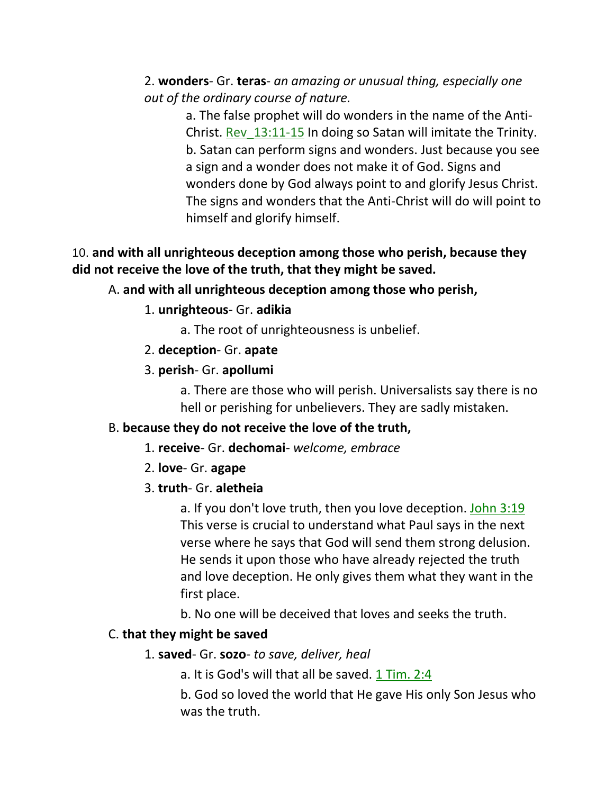2. **wonders**- Gr. **teras**- *an amazing or unusual thing, especially one out of the ordinary course of nature.* 

> a. The false prophet will do wonders in the name of the Anti-Christ. Rev\_13:11-15 In doing so Satan will imitate the Trinity. b. Satan can perform signs and wonders. Just because you see a sign and a wonder does not make it of God. Signs and wonders done by God always point to and glorify Jesus Christ. The signs and wonders that the Anti-Christ will do will point to himself and glorify himself.

### 10. **and with all unrighteous deception among those who perish, because they did not receive the love of the truth, that they might be saved.**

### A. **and with all unrighteous deception among those who perish,**

1. **unrighteous**- Gr. **adikia**

a. The root of unrighteousness is unbelief.

- 2. **deception** Gr. **apate**
- 3. **perish** Gr. **apollumi**

a. There are those who will perish. Universalists say there is no hell or perishing for unbelievers. They are sadly mistaken.

#### B. **because they do not receive the love of the truth,**

- 1. **receive** Gr. **dechomai** *welcome, embrace*
- 2. **love** Gr. **agape**
- 3. **truth** Gr. **aletheia**

a. If you don't love truth, then you love deception. John 3:19 This verse is crucial to understand what Paul says in the next verse where he says that God will send them strong delusion. He sends it upon those who have already rejected the truth and love deception. He only gives them what they want in the first place.

b. No one will be deceived that loves and seeks the truth.

### C. **that they might be saved**

- 1. **saved** Gr. **sozo** *to save, deliver, heal*
	- a. It is God's will that all be saved. 1 Tim. 2:4

b. God so loved the world that He gave His only Son Jesus who was the truth.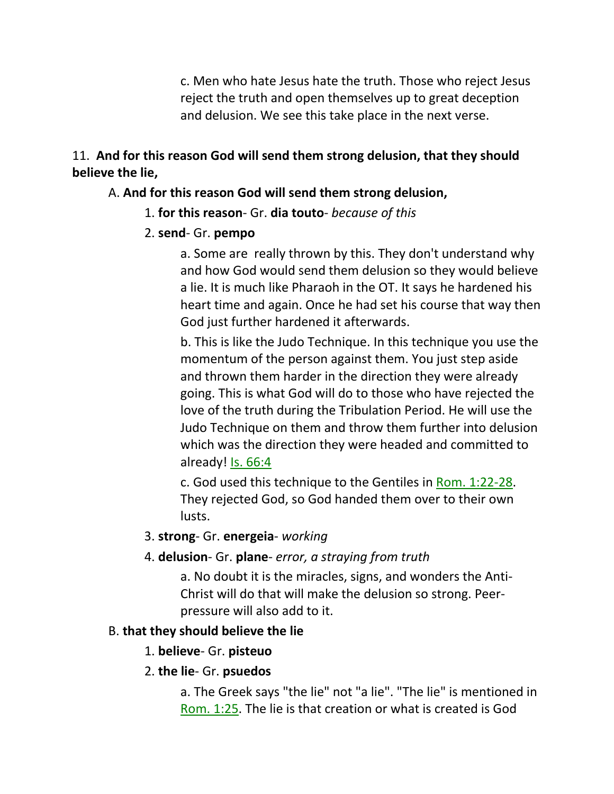c. Men who hate Jesus hate the truth. Those who reject Jesus reject the truth and open themselves up to great deception and delusion. We see this take place in the next verse.

#### 11. **And for this reason God will send them strong delusion, that they should believe the lie,**

### A. **And for this reason God will send them strong delusion,**

1. **for this reason**- Gr. **dia touto**- *because of this*

### 2. **send**- Gr. **pempo**

a. Some are really thrown by this. They don't understand why and how God would send them delusion so they would believe a lie. It is much like Pharaoh in the OT. It says he hardened his heart time and again. Once he had set his course that way then God just further hardened it afterwards.

b. This is like the Judo Technique. In this technique you use the momentum of the person against them. You just step aside and thrown them harder in the direction they were already going. This is what God will do to those who have rejected the love of the truth during the Tribulation Period. He will use the Judo Technique on them and throw them further into delusion which was the direction they were headed and committed to already! Is. 66:4

c. God used this technique to the Gentiles in Rom. 1:22-28. They rejected God, so God handed them over to their own lusts.

### 3. **strong**- Gr. **energeia**- *working*

4. **delusion**- Gr. **plane**- *error, a straying from truth*

a. No doubt it is the miracles, signs, and wonders the Anti-Christ will do that will make the delusion so strong. Peerpressure will also add to it.

### B. **that they should believe the lie**

1. **believe**- Gr. **pisteuo**

#### 2. **the lie**- Gr. **psuedos**

a. The Greek says "the lie" not "a lie". "The lie" is mentioned in Rom. 1:25. The lie is that creation or what is created is God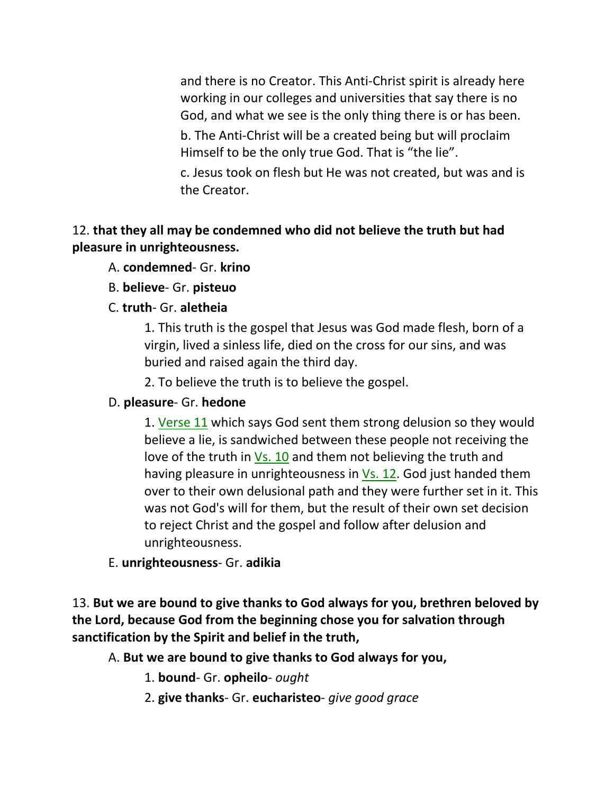and there is no Creator. This Anti-Christ spirit is already here working in our colleges and universities that say there is no God, and what we see is the only thing there is or has been.

b. The Anti-Christ will be a created being but will proclaim Himself to be the only true God. That is "the lie".

c. Jesus took on flesh but He was not created, but was and is the Creator.

## 12. **that they all may be condemned who did not believe the truth but had pleasure in unrighteousness.**

- A. **condemned** Gr. **krino**
- B. **believe** Gr. **pisteuo**
- C. **truth** Gr. **aletheia**

1. This truth is the gospel that Jesus was God made flesh, born of a virgin, lived a sinless life, died on the cross for our sins, and was buried and raised again the third day.

2. To believe the truth is to believe the gospel.

### D. **pleasure**- Gr. **hedone**

1. Verse 11 which says God sent them strong delusion so they would believe a lie, is sandwiched between these people not receiving the love of the truth in Vs. 10 and them not believing the truth and having pleasure in unrighteousness in Vs. 12. God just handed them over to their own delusional path and they were further set in it. This was not God's will for them, but the result of their own set decision to reject Christ and the gospel and follow after delusion and unrighteousness.

## E. **unrighteousness**- Gr. **adikia**

13. **But we are bound to give thanks to God always for you, brethren beloved by the Lord, because God from the beginning chose you for salvation through sanctification by the Spirit and belief in the truth,** 

A. **But we are bound to give thanks to God always for you,**

1. **bound**- Gr. **opheilo**- *ought*

2. **give thanks**- Gr. **eucharisteo**- *give good grace*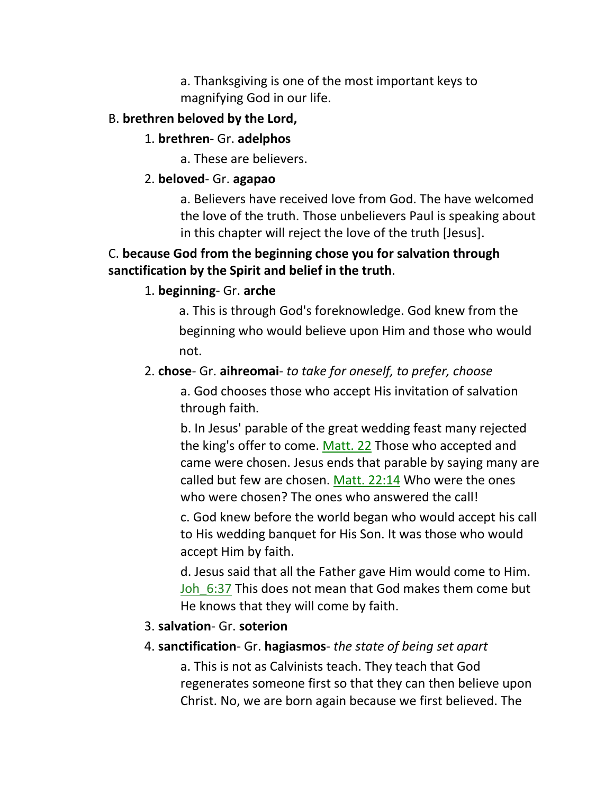a. Thanksgiving is one of the most important keys to magnifying God in our life.

### B. **brethren beloved by the Lord,**

### 1. **brethren**- Gr. **adelphos**

a. These are believers.

## 2. **beloved**- Gr. **agapao**

a. Believers have received love from God. The have welcomed the love of the truth. Those unbelievers Paul is speaking about in this chapter will reject the love of the truth [Jesus].

## C. **because God from the beginning chose you for salvation through sanctification by the Spirit and belief in the truth**.

## 1. **beginning**- Gr. **arche**

 a. This is through God's foreknowledge. God knew from the beginning who would believe upon Him and those who would not.

## 2. **chose**- Gr. **aihreomai**- *to take for oneself, to prefer, choose*

a. God chooses those who accept His invitation of salvation through faith.

b. In Jesus' parable of the great wedding feast many rejected the king's offer to come. Matt. 22 Those who accepted and came were chosen. Jesus ends that parable by saying many are called but few are chosen. Matt. 22:14 Who were the ones who were chosen? The ones who answered the call!

c. God knew before the world began who would accept his call to His wedding banquet for His Son. It was those who would accept Him by faith.

d. Jesus said that all the Father gave Him would come to Him. Joh 6:37 This does not mean that God makes them come but He knows that they will come by faith.

## 3. **salvation**- Gr. **soterion**

## 4. **sanctification**- Gr. **hagiasmos**- *the state of being set apart*

a. This is not as Calvinists teach. They teach that God regenerates someone first so that they can then believe upon Christ. No, we are born again because we first believed. The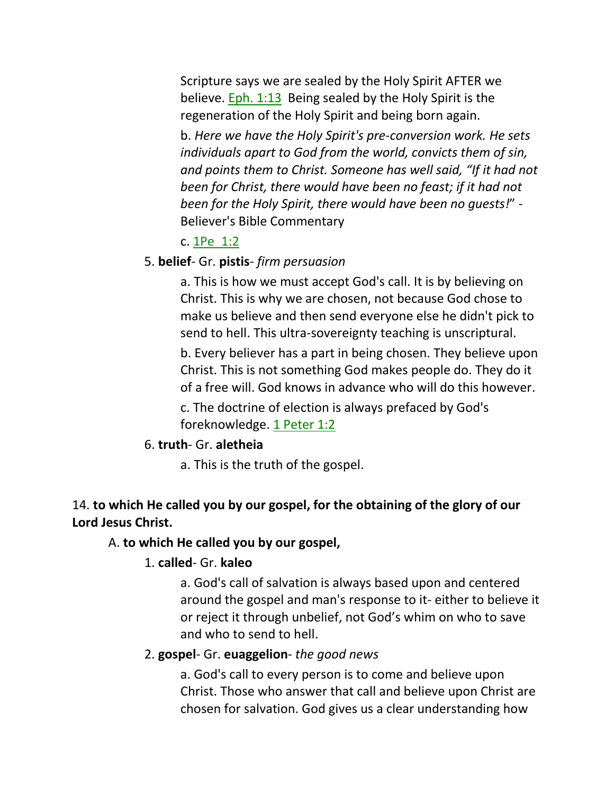Scripture says we are sealed by the Holy Spirit AFTER we believe. Eph. 1:13 Being sealed by the Holy Spirit is the regeneration of the Holy Spirit and being born again.

b. *Here we have the Holy Spirit's pre-conversion work. He sets individuals apart to God from the world, convicts them of sin, and points them to Christ. Someone has well said, "If it had not been for Christ, there would have been no feast; if it had not been for the Holy Spirit, there would have been no guests!*" - Believer's Bible Commentary

#### c. 1Pe\_1:2

### 5. **belief**- Gr. **pistis**- *firm persuasion*

a. This is how we must accept God's call. It is by believing on Christ. This is why we are chosen, not because God chose to make us believe and then send everyone else he didn't pick to send to hell. This ultra-sovereignty teaching is unscriptural.

b. Every believer has a part in being chosen. They believe upon Christ. This is not something God makes people do. They do it of a free will. God knows in advance who will do this however.

c. The doctrine of election is always prefaced by God's foreknowledge. 1 Peter 1:2

#### 6. **truth**- Gr. **aletheia**

a. This is the truth of the gospel.

### 14. **to which He called you by our gospel, for the obtaining of the glory of our Lord Jesus Christ.**

## A. **to which He called you by our gospel,**

#### 1. **called**- Gr. **kaleo**

a. God's call of salvation is always based upon and centered around the gospel and man's response to it- either to believe it or reject it through unbelief, not God's whim on who to save and who to send to hell.

#### 2. **gospel**- Gr. **euaggelion**- *the good news*

a. God's call to every person is to come and believe upon Christ. Those who answer that call and believe upon Christ are chosen for salvation. God gives us a clear understanding how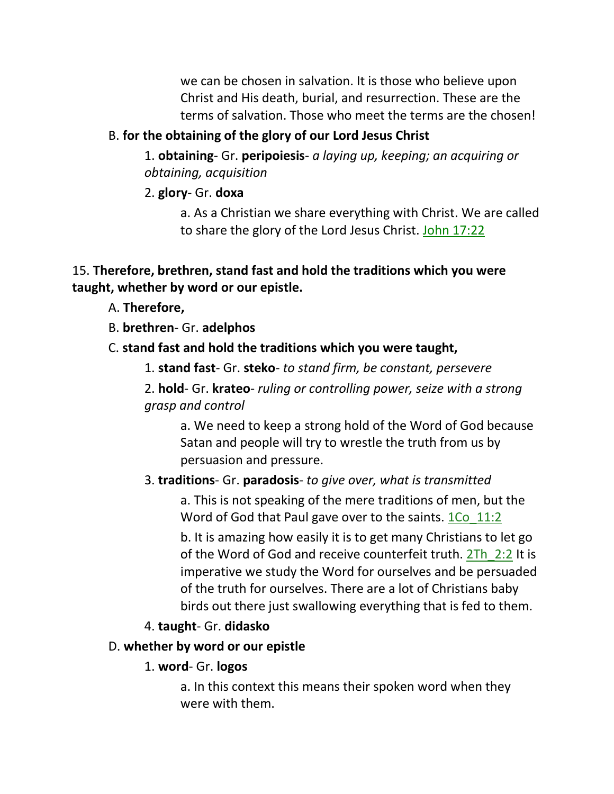we can be chosen in salvation. It is those who believe upon Christ and His death, burial, and resurrection. These are the terms of salvation. Those who meet the terms are the chosen!

### B. **for the obtaining of the glory of our Lord Jesus Christ**

1. **obtaining**- Gr. **peripoiesis**- *a laying up, keeping; an acquiring or obtaining, acquisition*

2. **glory**- Gr. **doxa**

a. As a Christian we share everything with Christ. We are called to share the glory of the Lord Jesus Christ. John 17:22

### 15. **Therefore, brethren, stand fast and hold the traditions which you were taught, whether by word or our epistle.**

### A. **Therefore,**

B. **brethren**- Gr. **adelphos**

### C. **stand fast and hold the traditions which you were taught,**

1. **stand fast**- Gr. **steko**- *to stand firm, be constant, persevere*

2. **hold**- Gr. **krateo**- *ruling or controlling power, seize with a strong grasp and control*

a. We need to keep a strong hold of the Word of God because Satan and people will try to wrestle the truth from us by persuasion and pressure.

### 3. **traditions**- Gr. **paradosis**- *to give over, what is transmitted*

a. This is not speaking of the mere traditions of men, but the Word of God that Paul gave over to the saints. 1Co 11:2

b. It is amazing how easily it is to get many Christians to let go of the Word of God and receive counterfeit truth. 2Th 2:2 It is imperative we study the Word for ourselves and be persuaded of the truth for ourselves. There are a lot of Christians baby birds out there just swallowing everything that is fed to them.

### 4. **taught**- Gr. **didasko**

#### D. **whether by word or our epistle**

#### 1. **word**- Gr. **logos**

a. In this context this means their spoken word when they were with them.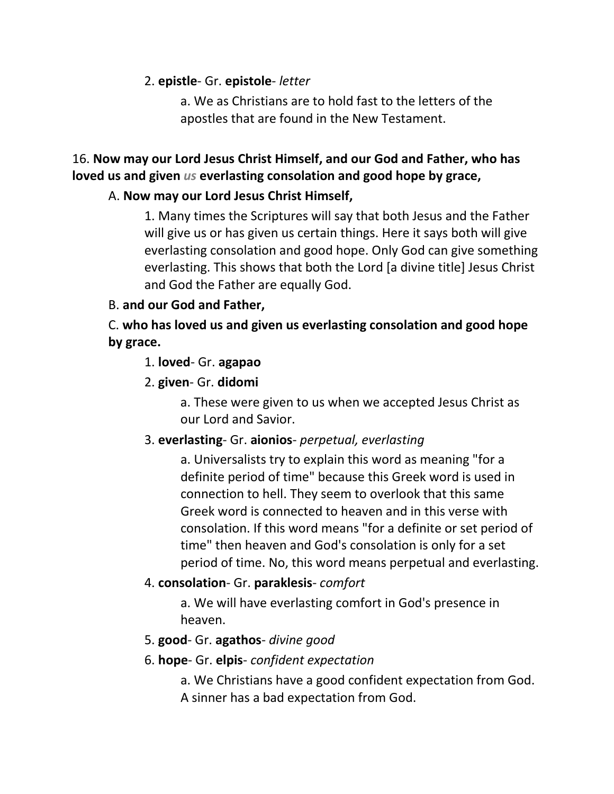2. **epistle**- Gr. **epistole**- *letter*

a. We as Christians are to hold fast to the letters of the apostles that are found in the New Testament.

# 16. **Now may our Lord Jesus Christ Himself, and our God and Father, who has loved us and given** *us* **everlasting consolation and good hope by grace,**

# A. **Now may our Lord Jesus Christ Himself,**

1. Many times the Scriptures will say that both Jesus and the Father will give us or has given us certain things. Here it says both will give everlasting consolation and good hope. Only God can give something everlasting. This shows that both the Lord [a divine title] Jesus Christ and God the Father are equally God.

## B. **and our God and Father,**

C. **who has loved us and given us everlasting consolation and good hope by grace.**

## 1. **loved**- Gr. **agapao**

## 2. **given**- Gr. **didomi**

a. These were given to us when we accepted Jesus Christ as our Lord and Savior.

# 3. **everlasting**- Gr. **aionios**- *perpetual, everlasting*

a. Universalists try to explain this word as meaning "for a definite period of time" because this Greek word is used in connection to hell. They seem to overlook that this same Greek word is connected to heaven and in this verse with consolation. If this word means "for a definite or set period of time" then heaven and God's consolation is only for a set period of time. No, this word means perpetual and everlasting.

# 4. **consolation**- Gr. **paraklesis**- *comfort*

a. We will have everlasting comfort in God's presence in heaven.

## 5. **good**- Gr. **agathos**- *divine good*

## 6. **hope**- Gr. **elpis**- *confident expectation*

a. We Christians have a good confident expectation from God. A sinner has a bad expectation from God.